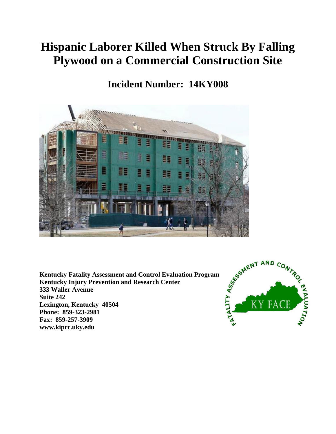# **Hispanic Laborer Killed When Struck By Falling Plywood on a Commercial Construction Site**

## **Incident Number: 14KY008**



**Kentucky Fatality Assessment and Control Evaluation Program Kentucky Injury Prevention and Research Center 333 Waller Avenue Suite 242 Lexington, Kentucky 40504 Phone: 859-323-2981 Fax: 859-257-3909 www.kiprc.uky.edu**

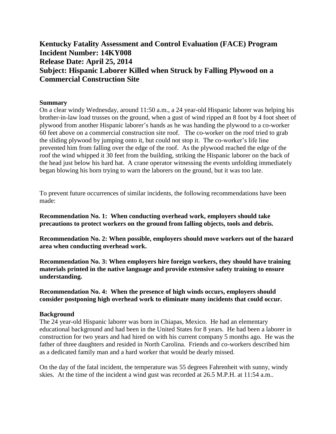### **Kentucky Fatality Assessment and Control Evaluation (FACE) Program Incident Number: 14KY008 Release Date: April 25, 2014 Subject: Hispanic Laborer Killed when Struck by Falling Plywood on a Commercial Construction Site**

#### **Summary**

On a clear windy Wednesday, around 11:50 a.m., a 24 year-old Hispanic laborer was helping his brother-in-law load trusses on the ground, when a gust of wind ripped an 8 foot by 4 foot sheet of plywood from another Hispanic laborer's hands as he was handing the plywood to a co-worker 60 feet above on a commercial construction site roof. The co-worker on the roof tried to grab the sliding plywood by jumping onto it, but could not stop it. The co-worker's life line prevented him from falling over the edge of the roof. As the plywood reached the edge of the roof the wind whipped it 30 feet from the building, striking the Hispanic laborer on the back of the head just below his hard hat. A crane operator witnessing the events unfolding immediately began blowing his horn trying to warn the laborers on the ground, but it was too late.

To prevent future occurrences of similar incidents, the following recommendations have been made:

**Recommendation No. 1: When conducting overhead work, employers should take precautions to protect workers on the ground from falling objects, tools and debris.**

**Recommendation No. 2: When possible, employers should move workers out of the hazard area when conducting overhead work.**

**Recommendation No. 3: When employers hire foreign workers, they should have training materials printed in the native language and provide extensive safety training to ensure understanding.**

**Recommendation No. 4: When the presence of high winds occurs, employers should consider postponing high overhead work to eliminate many incidents that could occur.** 

#### **Background**

The 24 year-old Hispanic laborer was born in Chiapas, Mexico. He had an elementary educational background and had been in the United States for 8 years. He had been a laborer in construction for two years and had hired on with his current company 5 months ago. He was the father of three daughters and resided in North Carolina. Friends and co-workers described him as a dedicated family man and a hard worker that would be dearly missed.

On the day of the fatal incident, the temperature was 55 degrees Fahrenheit with sunny, windy skies. At the time of the incident a wind gust was recorded at 26.5 M.P.H. at 11:54 a.m..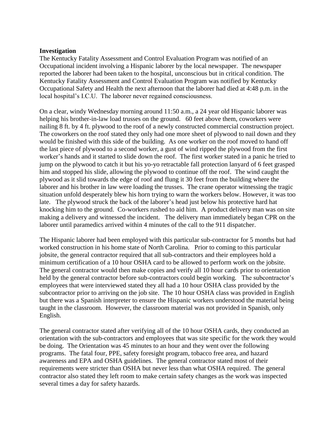#### **Investigation**

The Kentucky Fatality Assessment and Control Evaluation Program was notified of an Occupational incident involving a Hispanic laborer by the local newspaper. The newspaper reported the laborer had been taken to the hospital, unconscious but in critical condition. The Kentucky Fatality Assessment and Control Evaluation Program was notified by Kentucky Occupational Safety and Health the next afternoon that the laborer had died at 4:48 p.m. in the local hospital's I.C.U. The laborer never regained consciousness.

On a clear, windy Wednesday morning around 11:50 a.m., a 24 year old Hispanic laborer was helping his brother-in-law load trusses on the ground. 60 feet above them, coworkers were nailing 8 ft. by 4 ft. plywood to the roof of a newly constructed commercial construction project. The coworkers on the roof stated they only had one more sheet of plywood to nail down and they would be finished with this side of the building. As one worker on the roof moved to hand off the last piece of plywood to a second worker, a gust of wind ripped the plywood from the first worker's hands and it started to slide down the roof. The first worker stated in a panic he tried to jump on the plywood to catch it but his yo-yo retractable fall protection lanyard of 6 feet grasped him and stopped his slide, allowing the plywood to continue off the roof. The wind caught the plywood as it slid towards the edge of roof and flung it 30 feet from the building where the laborer and his brother in law were loading the trusses. The crane operator witnessing the tragic situation unfold desperately blew his horn trying to warn the workers below. However, it was too late. The plywood struck the back of the laborer's head just below his protective hard hat knocking him to the ground. Co-workers rushed to aid him. A product delivery man was on site making a delivery and witnessed the incident. The delivery man immediately began CPR on the laborer until paramedics arrived within 4 minutes of the call to the 911 dispatcher.

The Hispanic laborer had been employed with this particular sub-contractor for 5 months but had worked construction in his home state of North Carolina. Prior to coming to this particular jobsite, the general contractor required that all sub-contractors and their employees hold a minimum certification of a 10 hour OSHA card to be allowed to perform work on the jobsite. The general contractor would then make copies and verify all 10 hour cards prior to orientation held by the general contractor before sub-contractors could begin working. The subcontractor's employees that were interviewed stated they all had a 10 hour OSHA class provided by the subcontractor prior to arriving on the job site. The 10 hour OSHA class was provided in English but there was a Spanish interpreter to ensure the Hispanic workers understood the material being taught in the classroom. However, the classroom material was not provided in Spanish, only English.

The general contractor stated after verifying all of the 10 hour OSHA cards, they conducted an orientation with the sub-contractors and employees that was site specific for the work they would be doing. The Orientation was 45 minutes to an hour and they went over the following programs. The fatal four, PPE, safety foresight program, tobacco free area, and hazard awareness and EPA and OSHA guidelines. The general contractor stated most of their requirements were stricter than OSHA but never less than what OSHA required. The general contractor also stated they left room to make certain safety changes as the work was inspected several times a day for safety hazards.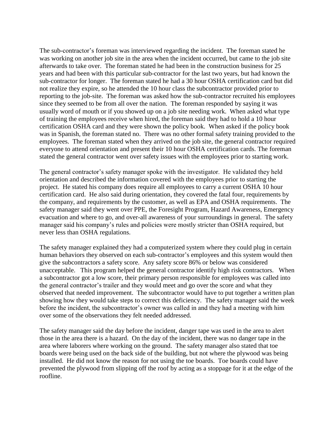The sub-contractor's foreman was interviewed regarding the incident. The foreman stated he was working on another job site in the area when the incident occurred, but came to the job site afterwards to take over. The foreman stated he had been in the construction business for 25 years and had been with this particular sub-contractor for the last two years, but had known the sub-contractor for longer. The foreman stated he had a 30 hour OSHA certification card but did not realize they expire, so he attended the 10 hour class the subcontractor provided prior to reporting to the job-site. The foreman was asked how the sub-contractor recruited his employees since they seemed to be from all over the nation. The foreman responded by saying it was usually word of mouth or if you showed up on a job site needing work. When asked what type of training the employees receive when hired, the foreman said they had to hold a 10 hour certification OSHA card and they were shown the policy book. When asked if the policy book was in Spanish, the foreman stated no. There was no other formal safety training provided to the employees. The foreman stated when they arrived on the job site, the general contractor required everyone to attend orientation and present their 10 hour OSHA certification cards. The foreman stated the general contractor went over safety issues with the employees prior to starting work.

The general contractor's safety manager spoke with the investigator. He validated they held orientation and described the information covered with the employees prior to starting the project. He stated his company does require all employees to carry a current OSHA 10 hour certification card. He also said during orientation, they covered the fatal four, requirements by the company, and requirements by the customer, as well as EPA and OSHA requirements. The safety manager said they went over PPE, the Foresight Program, Hazard Awareness, Emergency evacuation and where to go, and over-all awareness of your surroundings in general. The safety manager said his company's rules and policies were mostly stricter than OSHA required, but never less than OSHA regulations.

The safety manager explained they had a computerized system where they could plug in certain human behaviors they observed on each sub-contractor's employees and this system would then give the subcontractors a safety score. Any safety score 86% or below was considered unacceptable. This program helped the general contractor identify high risk contractors. When a subcontractor got a low score, their primary person responsible for employees was called into the general contractor's trailer and they would meet and go over the score and what they observed that needed improvement. The subcontractor would have to put together a written plan showing how they would take steps to correct this deficiency. The safety manager said the week before the incident, the subcontractor's owner was called in and they had a meeting with him over some of the observations they felt needed addressed.

The safety manager said the day before the incident, danger tape was used in the area to alert those in the area there is a hazard. On the day of the incident, there was no danger tape in the area where laborers where working on the ground. The safety manager also stated that toe boards were being used on the back side of the building, but not where the plywood was being installed. He did not know the reason for not using the toe boards. Toe boards could have prevented the plywood from slipping off the roof by acting as a stoppage for it at the edge of the roofline.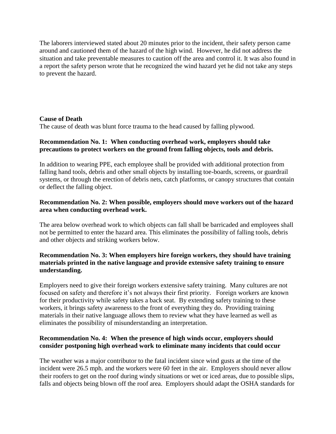The laborers interviewed stated about 20 minutes prior to the incident, their safety person came around and cautioned them of the hazard of the high wind. However, he did not address the situation and take preventable measures to caution off the area and control it. It was also found in a report the safety person wrote that he recognized the wind hazard yet he did not take any steps to prevent the hazard.

#### **Cause of Death**

The cause of death was blunt force trauma to the head caused by falling plywood.

#### **Recommendation No. 1: When conducting overhead work, employers should take precautions to protect workers on the ground from falling objects, tools and debris.**

In addition to wearing PPE, each employee shall be provided with additional protection from falling hand tools, debris and other small objects by installing toe-boards, screens, or guardrail systems, or through the erection of debris nets, catch platforms, or canopy structures that contain or deflect the falling object.

#### **Recommendation No. 2: When possible, employers should move workers out of the hazard area when conducting overhead work.**

The area below overhead work to which objects can fall shall be barricaded and employees shall not be permitted to enter the hazard area. This eliminates the possibility of falling tools, debris and other objects and striking workers below.

#### **Recommendation No. 3: When employers hire foreign workers, they should have training materials printed in the native language and provide extensive safety training to ensure understanding.**

Employers need to give their foreign workers extensive safety training. Many cultures are not focused on safety and therefore it's not always their first priority. Foreign workers are known for their productivity while safety takes a back seat. By extending safety training to these workers, it brings safety awareness to the front of everything they do. Providing training materials in their native language allows them to review what they have learned as well as eliminates the possibility of misunderstanding an interpretation.

#### **Recommendation No. 4: When the presence of high winds occur, employers should consider postponing high overhead work to eliminate many incidents that could occur**

The weather was a major contributor to the fatal incident since wind gusts at the time of the incident were 26.5 mph. and the workers were 60 feet in the air. Employers should never allow their roofers to get on the roof during windy situations or wet or iced areas, due to possible slips, falls and objects being blown off the roof area. Employers should adapt the OSHA standards for